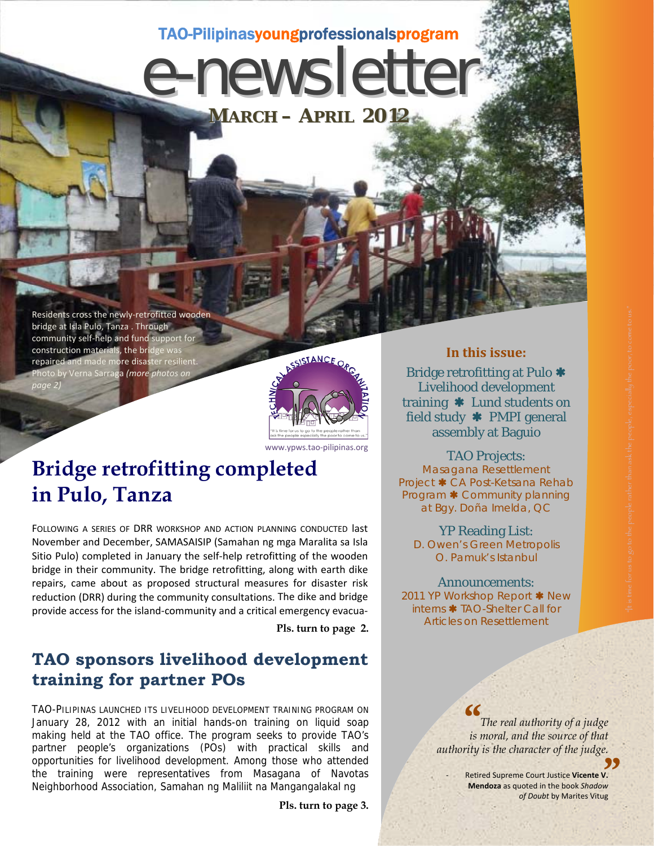## TAO-Pilipinasyoungprofessionalsprogram

e-newsletter

**MARCH – APRIL 2012**

Residents cross the newly‐retrofitted wooden bridge at Isla Pulo, Tanza . Through community self‐help and fund support for construction materials, the bridge was repaired and made more disaster resilient. Photo by Verna Sarraga *(more photos on page 2)*

 **in Pulo, Tanza Bridge retrofitting completed** 

FOLLOWING A SERIES OF DRR WORKSHOP AND ACTION PLANNING CONDUCTED last November and December, SAMASAISIP (Samahan ng mga Maralita sa Isla Sitio Pulo) completed in January the self‐help retrofitting of the wooden bridge in their community. The bridge retrofitting, along with earth dike repairs, came about as proposed structural measures for disaster risk reduction (DRR) during the community consultations. The dike and bridge provide access for the island‐community and a critical emergency evacua‐

**Pls. turn to page 2.** 

www.ypws.tao‐pilipinas.org

ASSISTANCEO

### **TAO sponsors livelihood development training for partner POs**

TAO-PILIPINAS LAUNCHED ITS LIVELIHOOD DEVELOPMENT TRAINING PROGRAM ON January 28, 2012 with an initial hands-on training on liquid soap making held at the TAO office. The program seeks to provide TAO's partner people's organizations (POs) with practical skills and opportunities for livelihood development. Among those who attended the training were representatives from Masagana of Navotas Neighborhood Association, Samahan ng Maliliit na Mangangalakal ng

#### **In this issue:**

Bridge retrofitting at Pulo Livelihood development training  $*$  Lund students on field study  $*$  PMPI general assembly at Baguio

TAO Projects: Masagana Resettlement Project \* CA Post-Ketsana Rehab Program **\*** Community planning at Bgy. Doña Imelda, QC

YP Reading List: D. Owen's *Green Metropolis* O. Pamuk's *Istanbul*

#### Announcements: 2011 YP Workshop Report \* New interns **\*** TAO-Shelter Call for Articles on *Resettlement*

*"*

*The real authority of a judge is moral, and the source of that authority is the character of the judge.* 

**Solution** Extends the Countries of the principle **of the State of the State of State of the Mendoza** as quoted in the book *Shadow* of Doubt by Marites Vitug ‐ Retired Supreme Court Justice **Vicente V.**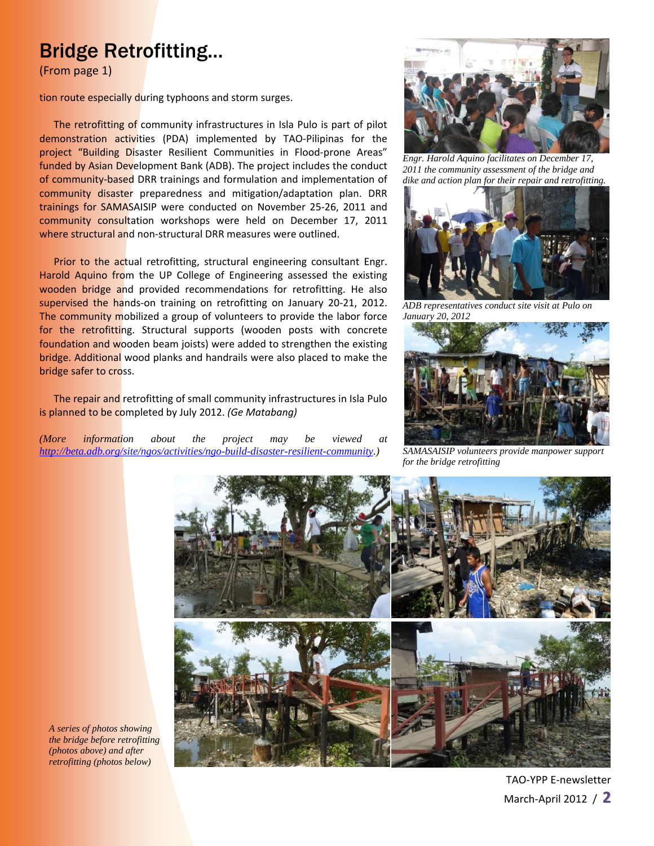# Bridge Retrofitting...

(From page 1)

tion route especially during typhoons and storm surges.

The retrofitting of community infrastructures in Isla Pulo is part of pilot demonstration activities (PDA) implemented by TAO-Pilipinas for the project "Building Disaster Resilient Communities in Flood-prone Areas" funded by Asian Development Bank (ADB). The project includes the conduct of community‐based DRR trainings and formulation and implementation of community disaster preparedness and mitigation/adaptation plan. DRR trainings for SAMASAISIP were conducted on November 25‐26, 2011 and community consultation workshops were held on December 17, 2011 where structural and non-structural DRR measures were outlined.

Prior to the actual retrofitting, structural engineering consultant Engr. Harold Aquino from the UP College of Engineering assessed the existing wooden bridge and provided recommendations for retrofitting. He also supervised the hands-on training on retrofitting on January 20-21, 2012. The community mobilized a group of volunteers to provide the labor force for the retrofitting. Structural supports (wooden posts with concrete foundation and wooden beam joists) were added to strengthen the existing bridge. Additional wood planks and handrails were also placed to make the bridge safer to cross.

The repair and retrofitting of small community infrastructures in Isla Pulo is planned to be completed by July 2012. *(Ge Matabang)*

*(More information about the project may be viewed at http://beta.adb.org/site/ngos/activities/ngo-build-disaster-resilient-community.)* 



*Engr. Harold Aquino facilitates on December 17, 2011 the community assessment of the bridge and dike and action plan for their repair and retrofitting.* 



*ADB representatives conduct site visit at Pulo on January 20, 2012* 



*SAMASAISIP volunteers provide manpower support for the bridge retrofitting*



*A series of photos showing the bridge before retrofitting (photos above) and after retrofitting (photos below)*

TAO‐YPP E‐newsletter March‐April <sup>2012</sup> / **2**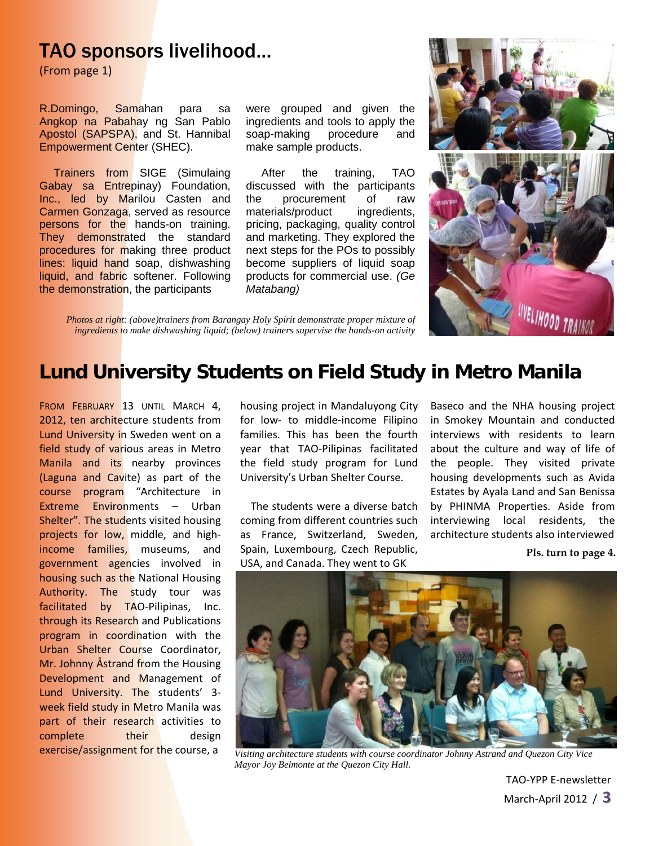## TAO sponsors livelihood...

(From page 1)

R.Domingo, Samahan para sa Angkop na Pabahay ng San Pablo Apostol (SAPSPA), and St. Hannibal Empowerment Center (SHEC).

Trainers from SIGE (Simulaing Gabay sa Entrepinay) Foundation, Inc., led by Marilou Casten and Carmen Gonzaga, served as resource persons for the hands-on training. They demonstrated the standard procedures for making three product lines: liquid hand soap, dishwashing liquid, and fabric softener. Following the demonstration, the participants

were grouped and given the ingredients and tools to apply the soap-making procedure and make sample products.

After the training, TAO discussed with the participants the procurement of raw materials/product ingredients, pricing, packaging, quality control and marketing. They explored the next steps for the POs to possibly become suppliers of liquid soap products for commercial use. *(Ge Matabang)*



*Photos at right: (above)trainers from Barangay Holy Spirit demonstrate proper mixture of ingredients to make dishwashing liquid; (below) trainers supervise the hands-on activity* 

## **Lund University Students on Field Study in Metro Manila**

FROM FEBRUARY 13 UNTIL MARCH 4, 2012, ten architecture students from Lund University in Sweden went on a field study of various areas in Metro Manila and its nearby provinces (Laguna and Cavite) as part of the course program "Architecture in Extreme Environments – Urban Shelter". The students visited housing projects for low, middle, and highincome families, museums, and government agencies involved in housing such as the National Housing Authority. The study tour was facilitated by TAO-Pilipinas, Inc. through its Research and Publications program in coordination with the Urban Shelter Course Coordinator, Mr. Johnny Åstrand from the Housing Development and Management of Lund University. The students' 3‐ week field study in Metro Manila was part of their research activities to complete their design exercise/assignment for the course, a

housing project in Mandaluyong City for low‐ to middle‐income Filipino families. This has been the fourth year that TAO‐Pilipinas facilitated the field study program for Lund University's Urban Shelter Course.

The students were a diverse batch coming from different countries such as France, Switzerland, Sweden, Spain, Luxembourg, Czech Republic, USA, and Canada. They went to GK

Baseco and the NHA housing project in Smokey Mountain and conducted interviews with residents to learn about the culture and way of life of the people. They visited private housing developments such as Avida Estates by Ayala Land and San Benissa by PHINMA Properties. Aside from interviewing local residents, the architecture students also interviewed

**Pls. turn to page 4.**



*Visiting architecture students with course coordinator Johnny Astrand and Quezon City Vice Mayor Joy Belmonte at the Quezon City Hall.*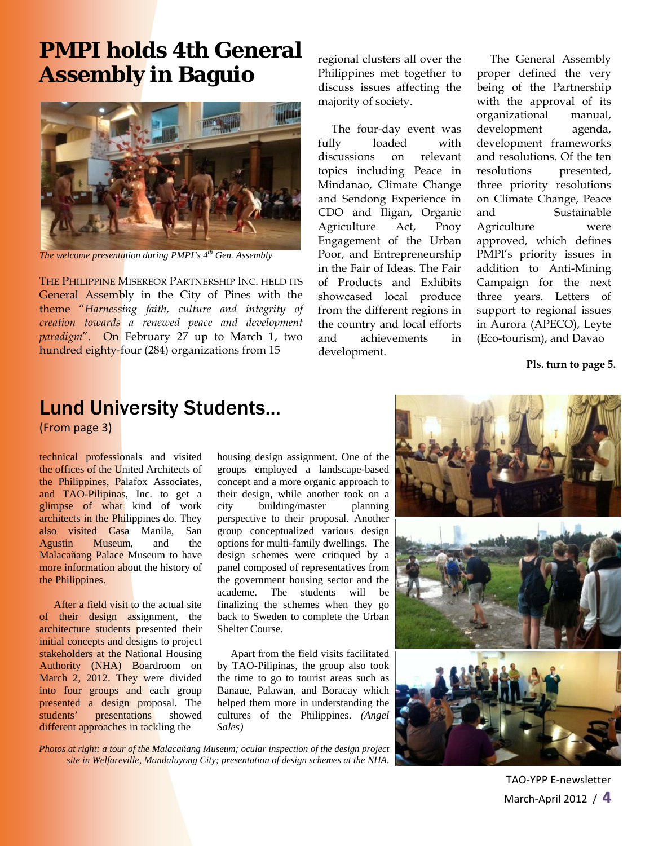# **PMPI holds 4th General Assembly in Baguio**



*The welcome presentation during PMPI's 4th Gen. Assembly* 

THE PHILIPPINE MISEREOR PARTNERSHIP INC. HELD ITS General Assembly in the City of Pines with the theme "*Harnessing faith, culture and integrity of creation towards a renewed peace and development paradigm*". On February 27 up to March 1, two hundred eighty-four (284) organizations from 15

regional clusters all over the Philippines met together to discuss issues affecting the majority of society.

The four-day event was fully loaded with discussions on relevant topics including Peace in Mindanao, Climate Change and Sendong Experience in CDO and Iligan, Organic Agriculture Act, Pnoy Engagement of the Urban Poor, and Entrepreneurship in the Fair of Ideas. The Fair of Products and Exhibits showcased local produce from the different regions in the country and local efforts and achievements in development.

The General Assembly proper defined the very being of the Partnership with the approval of its organizational manual, development agenda, development frameworks and resolutions. Of the ten resolutions presented, three priority resolutions on Climate Change, Peace and Sustainable Agriculture were approved, which defines PMPI's priority issues in addition to Anti-Mining Campaign for the next three years. Letters of support to regional issues in Aurora (APECO), Leyte (Eco-tourism), and Davao

**Pls. turn to page 5.**

# Lund University Students...

(From page 3)

technical professionals and visited the offices of the United Architects of the Philippines, Palafox Associates, and TAO-Pilipinas, Inc. to get a glimpse of what kind of work architects in the Philippines do. They also visited Casa Manila, San Agustin Museum, and the Malacañang Palace Museum to have more information about the history of the Philippines.

After a field visit to the actual site of their design assignment, the architecture students presented their initial concepts and designs to project stakeholders at the National Housing Authority (NHA) Boardroom on March 2, 2012. They were divided into four groups and each group presented a design proposal. The students' presentations showed different approaches in tackling the

housing design assignment. One of the groups employed a landscape-based concept and a more organic approach to their design, while another took on a city building/master planning perspective to their proposal. Another group conceptualized various design options for multi-family dwellings. The design schemes were critiqued by a panel composed of representatives from the government housing sector and the academe. The students will be finalizing the schemes when they go back to Sweden to complete the Urban Shelter Course.

Apart from the field visits facilitated by TAO-Pilipinas, the group also took the time to go to tourist areas such as Banaue, Palawan, and Boracay which helped them more in understanding the cultures of the Philippines. *(Angel Sales)*



*Photos at right: a tour of the Malacañang Museum; ocular inspection of the design project site in Welfareville, Mandaluyong City; presentation of design schemes at the NHA.*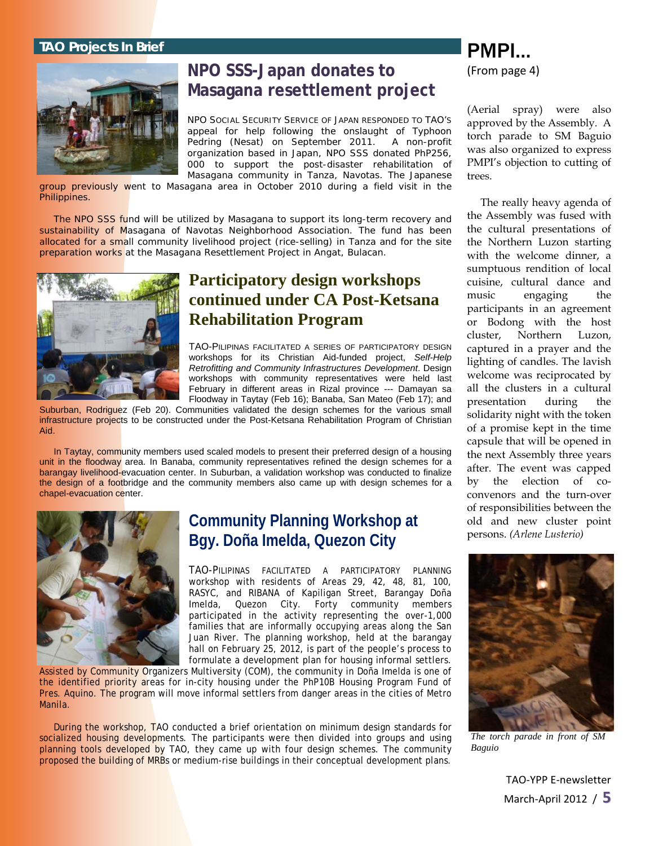#### **TAO Projects In Brief <b>Contract Contract Contract Contract Contract Contract Contract Contract Contract Contract Contract Contract Contract Contract Contract Contract Contract Contract Contract Contract Contract Contract**



## **NPO SSS-Japan donates to Masagana resettlement project**

NPO SOCIAL SECURITY SERVICE OF JAPAN RESPONDED TO TAO'S appeal for help following the onslaught of Typhoon Pedring (Nesat) on September 2011. A non-profit organization based in Japan, NPO SSS donated PhP256, 000 to support the post-disaster rehabilitation of Masagana community in Tanza, Navotas. The Japanese

group previously went to Masagana area in October 2010 during a field visit in the Philippines.

The NPO SSS fund will be utilized by Masagana to support its long-term recovery and sustainability of Masagana of Navotas Neighborhood Association. The fund has been allocated for a small community livelihood project (rice-selling) in Tanza and for the site preparation works at the Masagana Resettlement Project in Angat, Bulacan.



### **Participatory design workshops continued under CA Post-Ketsana Rehabilitation Program**

TAO-PILIPINAS FACILITATED A SERIES OF PARTICIPATORY DESIGN workshops for its Christian Aid-funded project, *Self-Help Retrofitting and Community Infrastructures Development*. Design workshops with community representatives were held last February in different areas in Rizal province --- Damayan sa Floodway in Taytay (Feb 16); Banaba, San Mateo (Feb 17); and

Suburban, Rodriguez (Feb 20). Communities validated the design schemes for the various small infrastructure projects to be constructed under the Post-Ketsana Rehabilitation Program of Christian Aid.

In Taytay, community members used scaled models to present their preferred design of a housing unit in the floodway area. In Banaba, community representatives refined the design schemes for a barangay livelihood-evacuation center. In Suburban, a validation workshop was conducted to finalize the design of a footbridge and the community members also came up with design schemes for a chapel-evacuation center.



#### **Community Planning Workshop at Bgy. Doña Imelda, Quezon City**

TAO-PILIPINAS FACILITATED A PARTICIPATORY PLANNING workshop with residents of Areas 29, 42, 48, 81, 100, RASYC, and RIBANA of Kapiligan Street, Barangay Doña<br>Imelda, Quezon City. Forty community members Imelda, Quezon City. Forty community participated in the activity representing the over-1,000 families that are informally occupying areas along the San Juan River. The planning workshop, held at the barangay hall on February 25, 2012, is part of the people's process to formulate a development plan for housing informal settlers.

Assisted by Community Organizers Multiversity (COM), the community in Doña Imelda is one of the identified priority areas for in-city housing under the PhP10B Housing Program Fund of Pres. Aquino. The program will move informal settlers from danger areas in the cities of Metro Manila.

During the workshop, TAO conducted a brief orientation on minimum design standards for socialized housing developments. The participants were then divided into groups and using planning tools developed by TAO, they came up with four design schemes. The community proposed the building of MRBs or medium-rise buildings in their conceptual development plans.

# (From page 4)

(Aerial spray) were also approved by the Assembly. A torch parade to SM Baguio was also organized to express PMPI's objection to cutting of trees.

The really heavy agenda of the Assembly was fused with the cultural presentations of the Northern Luzon starting with the welcome dinner, a sumptuous rendition of local cuisine, cultural dance and music engaging the participants in an agreement or Bodong with the host cluster, Northern Luzon, captured in a prayer and the lighting of candles. The lavish welcome was reciprocated by all the clusters in a cultural presentation during the solidarity night with the token of a promise kept in the time capsule that will be opened in the next Assembly three years after. The event was capped by the election of coconvenors and the turn-over of responsibilities between the old and new cluster point persons. *(Arlene Lusterio)* 



*The torch parade in front of SM Baguio*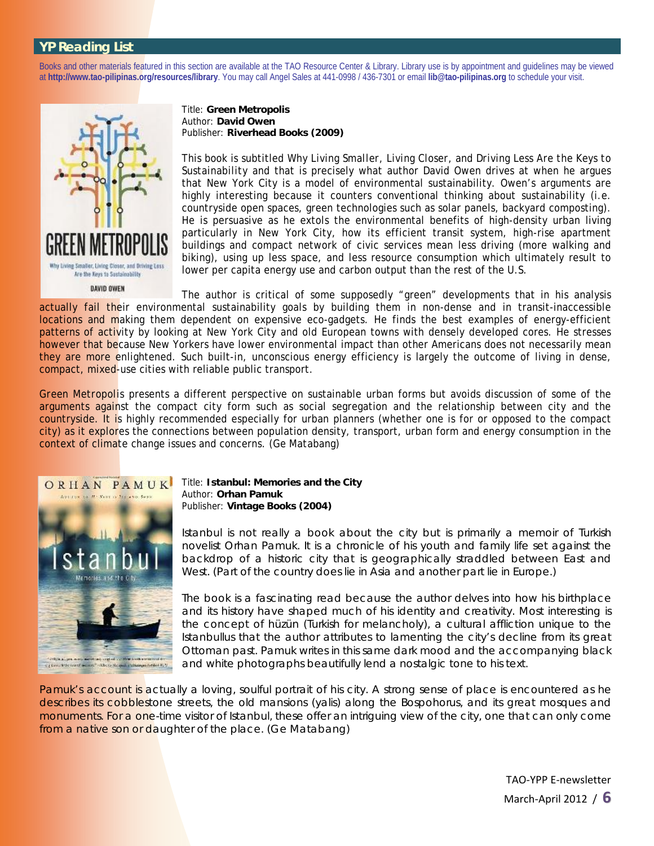#### **YP Reading List**

Books and other materials featured in this section are available at the TAO Resource Center & Library. Library use is by appointment and guidelines may be viewed at **http://www.tao-pilipinas.org/resources/library**. You may call Angel Sales at 441-0998 / 436-7301 or email **lib@tao-pilipinas.org** to schedule your visit.



Title: **Green Metropolis** Author: **David Owen** Publisher: **Riverhead Books (2009)**

This book is subtitled *Why Living Smaller, Living Closer, and Driving Less Are the Keys to Sustainability* and that is precisely what author David Owen drives at when he argues that New York City is a model of environmental sustainability. Owen's arguments are highly interesting because it counters conventional thinking about sustainability (i.e. countryside open spaces, green technologies such as solar panels, backyard composting). He is persuasive as he extols the environmental benefits of high-density urban living particularly in New York City, how its efficient transit system, high-rise apartment buildings and compact network of civic services mean less driving (more walking and biking), using up less space, and less resource consumption which ultimately result to lower per capita energy use and carbon output than the rest of the U.S.

The author is critical of some supposedly "green" developments that in his analysis actually fail their environmental sustainability goals by building them in non-dense and in transit-inaccessible locations and making them dependent on expensive eco-gadgets. He finds the best examples of energy-efficient patterns of activity by looking at New York City and old European towns with densely developed cores. He stresses however that because New Yorkers have lower environmental impact than other Americans does not necessarily mean they are more enlightened. Such built-in, unconscious energy efficiency is largely the outcome of living in dense, compact, mixed-use cities with reliable public transport.

*Green Metropolis* presents a different perspective on sustainable urban forms but avoids discussion of some of the arguments against the compact city form such as social segregation and the relationship between city and the countryside. It is highly recommended especially for urban planners (whether one is for or opposed to the compact city) as it explores the connections between population density, transport, urban form and energy consumption in the context of climate change issues and concerns. *(Ge Matabang)*



#### Title: **Istanbul: Memories and the City** Author: **Orhan Pamuk** Publisher: **Vintage Books (2004)**

*Istanbul* is not really a book about the city but is primarily a memoir of Turkish novelist Orhan Pamuk. It is a chronicle of his youth and family life set against the backdrop of a historic city that is geographically straddled between East and West. (Part of the country does lie in Asia and another part lie in Europe.)

The book is a fascinating read because the author delves into how his birthplace and its history have shaped much of his identity and creativity. Most interesting is the concept of *hüzün* (Turkish for melancholy), a cultural affliction unique to the *Istanbullu*s that the author attributes to lamenting the city's decline from its great Ottoman past. Pamuk writes in this same dark mood and the accompanying black and white photographs beautifully lend a nostalgic tone to his text.

Pamuk's account is actually a loving, soulful portrait of his city. A strong sense of place is encountered as he describes its cobblestone streets, the old mansions (yalis) along the Bospohorus, and its great mosques and monuments. For a one-time visitor of Istanbul, these offer an intriguing view of the city, one that can only come from a native son or daughter of the place. (*Ge Matabang*)